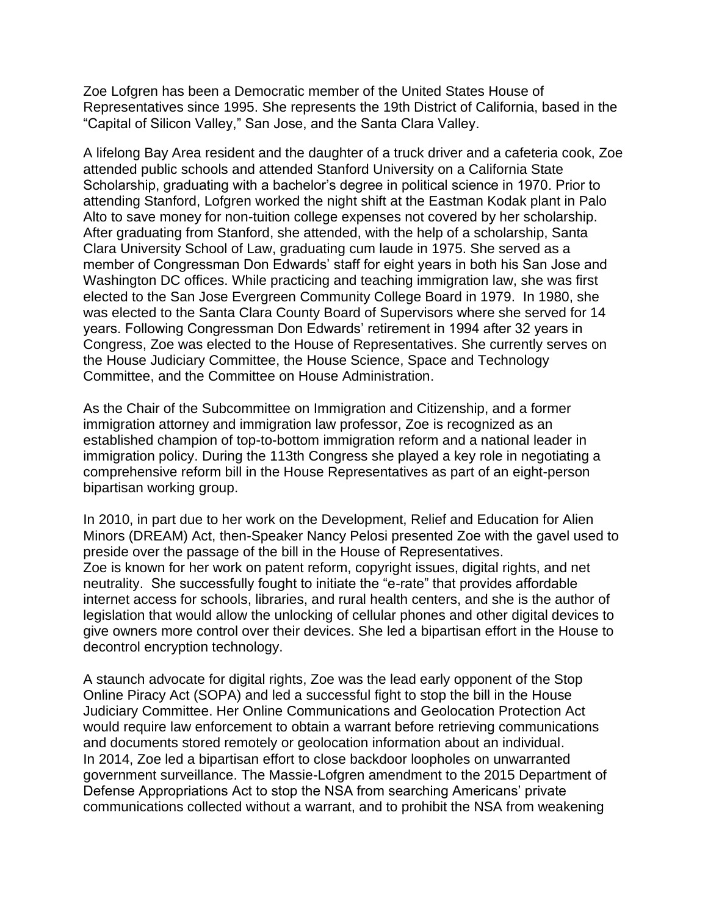Zoe Lofgren has been a Democratic member of the United States House of Representatives since 1995. She represents the 19th District of California, based in the "Capital of Silicon Valley," San Jose, and the Santa Clara Valley.

A lifelong Bay Area resident and the daughter of a truck driver and a cafeteria cook, Zoe attended public schools and attended Stanford University on a California State Scholarship, graduating with a bachelor's degree in political science in 1970. Prior to attending Stanford, Lofgren worked the night shift at the Eastman Kodak plant in Palo Alto to save money for non-tuition college expenses not covered by her scholarship. After graduating from Stanford, she attended, with the help of a scholarship, Santa Clara University School of Law, graduating cum laude in 1975. She served as a member of Congressman Don Edwards' staff for eight years in both his San Jose and Washington DC offices. While practicing and teaching immigration law, she was first elected to the San Jose Evergreen Community College Board in 1979. In 1980, she was elected to the Santa Clara County Board of Supervisors where she served for 14 years. Following Congressman Don Edwards' retirement in 1994 after 32 years in Congress, Zoe was elected to the House of Representatives. She currently serves on the House Judiciary Committee, the House Science, Space and Technology Committee, and the Committee on House Administration.

As the Chair of the Subcommittee on Immigration and Citizenship, and a former immigration attorney and immigration law professor, Zoe is recognized as an established champion of top-to-bottom immigration reform and a national leader in immigration policy. During the 113th Congress she played a key role in negotiating a comprehensive reform bill in the House Representatives as part of an eight-person bipartisan working group.

In 2010, in part due to her work on the Development, Relief and Education for Alien Minors (DREAM) Act, then-Speaker Nancy Pelosi presented Zoe with the gavel used to preside over the passage of the bill in the House of Representatives. Zoe is known for her work on patent reform, copyright issues, digital rights, and net neutrality. She successfully fought to initiate the "e-rate" that provides affordable internet access for schools, libraries, and rural health centers, and she is the author of legislation that would allow the unlocking of cellular phones and other digital devices to give owners more control over their devices. She led a bipartisan effort in the House to decontrol encryption technology.

A staunch advocate for digital rights, Zoe was the lead early opponent of the Stop Online Piracy Act (SOPA) and led a successful fight to stop the bill in the House Judiciary Committee. Her Online Communications and Geolocation Protection Act would require law enforcement to obtain a warrant before retrieving communications and documents stored remotely or geolocation information about an individual. In 2014, Zoe led a bipartisan effort to close backdoor loopholes on unwarranted government surveillance. The Massie-Lofgren amendment to the 2015 Department of Defense Appropriations Act to stop the NSA from searching Americans' private communications collected without a warrant, and to prohibit the NSA from weakening